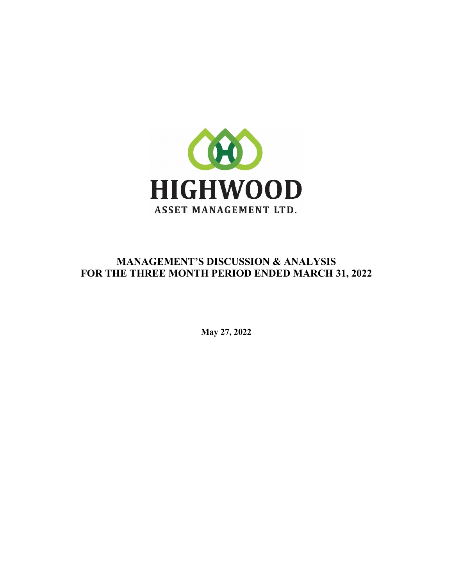

## MANAGEMENT'S DISCUSSION & ANALYSIS FOR THE THREE MONTH PERIOD ENDED MARCH 31, 2022

May 27, 2022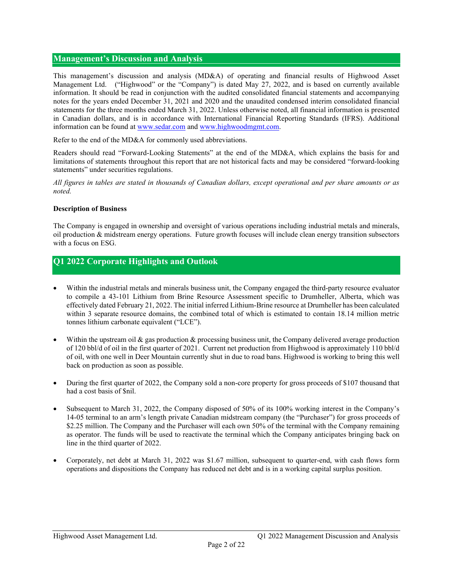#### Management's Discussion and Analysis

This management's discussion and analysis (MD&A) of operating and financial results of Highwood Asset Management Ltd. ("Highwood" or the "Company") is dated May 27, 2022, and is based on currently available information. It should be read in conjunction with the audited consolidated financial statements and accompanying notes for the years ended December 31, 2021 and 2020 and the unaudited condensed interim consolidated financial statements for the three months ended March 31, 2022. Unless otherwise noted, all financial information is presented in Canadian dollars, and i[s in accordance](http://www.sedar.com/) wit[h International Financial R](http://www.highwoodmgmt.com/)eporting Standards (IFRS). Additional information can be found at www.sedar.com and www.highwoodmgmt.com.

Refer to the end of the MD&A for commonly used abbreviations.

Readers should read "Forward-Looking Statements" at the end of the MD&A, which explains the basis for and limitations of statements throughout this report that are not historical facts and may be considered "forward-looking statements" under securities regulations.

*All figures in tables are stated in thousands of Canadian dollars, except operational and per share amounts or as noted.*

#### Description of Business

The Company is engaged in ownership and oversight of various operations including industrial metals and minerals, oil production & midstream energy operations. Future growth focuses will include clean energy transition subsectors with a focus on ESG.

### Q1 2022 Corporate Highlights and Outlook

- Within the industrial metals and minerals business unit, the Company engaged the third-party resource evaluator to compile a 43-101 Lithium from Brine Resource Assessment specific to Drumheller, Alberta, which was effectively dated February 21, 2022. The initial inferred Lithium-Brine resource at Drumheller has been calculated within 3 separate resource domains, the combined total of which is estimated to contain 18.14 million metric tonnes lithium carbonate equivalent ("LCE").
- Within the upstream oil & gas production & processing business unit, the Company delivered average production of 120 bbl/d of oil in the first quarter of 2021. Current net production from Highwood is approximately 110 bbl/d of oil, with one well in Deer Mountain currently shut in due to road bans. Highwood is working to bring this well back on production as soon as possible.
- During the first quarter of 2022, the Company sold a non-core property for gross proceeds of \$107 thousand that had a cost basis of \$nil.
- Subsequent to March 31, 2022, the Company disposed of 50% of its 100% working interest in the Company's 14-05 terminal to an arm's length private Canadian midstream company (the "Purchaser") for gross proceeds of \$2.25 million. The Company and the Purchaser will each own 50% of the terminal with the Company remaining as operator. The funds will be used to reactivate the terminal which the Company anticipates bringing back on line in the third quarter of 2022.
- Corporately, net debt at March 31, 2022 was \$1.67 million, subsequent to quarter-end, with cash flows form operations and dispositions the Company has reduced net debt and is in a working capital surplus position.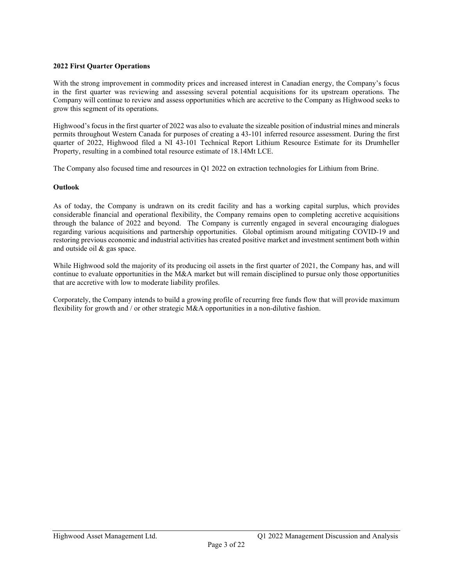#### 2022 First Quarter Operations

With the strong improvement in commodity prices and increased interest in Canadian energy, the Company's focus in the first quarter was reviewing and assessing several potential acquisitions for its upstream operations. The Company will continue to review and assess opportunities which are accretive to the Company as Highwood seeks to grow this segment of its operations.

Highwood's focus in the first quarter of 2022 was also to evaluate the sizeable position of industrial mines and minerals permits throughout Western Canada for purposes of creating a 43-101 inferred resource assessment. During the first quarter of 2022, Highwood filed a NI 43-101 Technical Report Lithium Resource Estimate for its Drumheller Property, resulting in a combined total resource estimate of 18.14Mt LCE.

The Company also focused time and resources in Q1 2022 on extraction technologies for Lithium from Brine.

#### **Outlook**

As of today, the Company is undrawn on its credit facility and has a working capital surplus, which provides considerable financial and operational flexibility, the Company remains open to completing accretive acquisitions through the balance of 2022 and beyond. The Company is currently engaged in several encouraging dialogues regarding various acquisitions and partnership opportunities. Global optimism around mitigating COVID-19 and restoring previous economic and industrial activities has created positive market and investment sentiment both within and outside oil & gas space.

While Highwood sold the majority of its producing oil assets in the first quarter of 2021, the Company has, and will continue to evaluate opportunities in the M&A market but will remain disciplined to pursue only those opportunities that are accretive with low to moderate liability profiles.

Corporately, the Company intends to build a growing profile of recurring free funds flow that will provide maximum flexibility for growth and / or other strategic M&A opportunities in a non-dilutive fashion.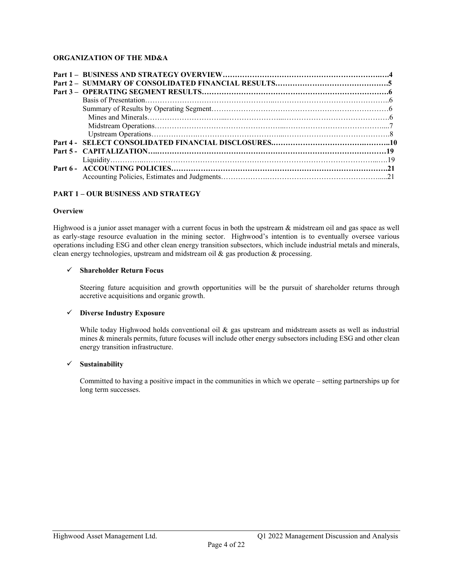#### ORGANIZATION OF THE MD&A

#### PART 1 – OUR BUSINESS AND STRATEGY

#### **Overview**

Highwood is a junior asset manager with a current focus in both the upstream & midstream oil and gas space as well as early-stage resource evaluation in the mining sector. Highwood's intention is to eventually oversee various operations including ESG and other clean energy transition subsectors, which include industrial metals and minerals, clean energy technologies, upstream and midstream oil & gas production & processing.

#### $\checkmark$  Shareholder Return Focus

Steering future acquisition and growth opportunities will be the pursuit of shareholder returns through accretive acquisitions and organic growth.

#### $\checkmark$  Diverse Industry Exposure

While today Highwood holds conventional oil & gas upstream and midstream assets as well as industrial mines & minerals permits, future focuses will include other energy subsectors including ESG and other clean energy transition infrastructure.

#### $\checkmark$  Sustainability

Committed to having a positive impact in the communities in which we operate – setting partnerships up for long term successes.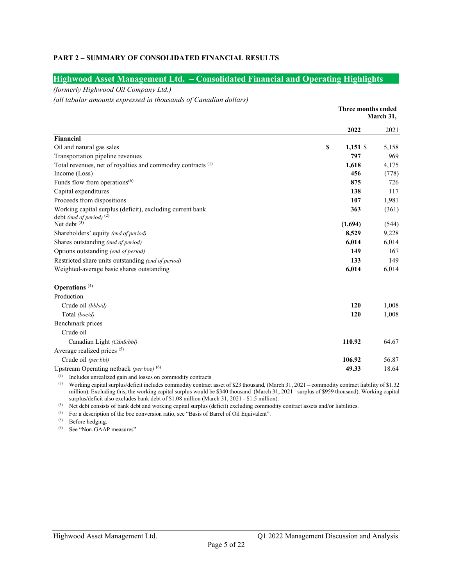#### PART 2 – SUMMARY OF CONSOLIDATED FINANCIAL RESULTS

#### Highwood Asset Management Ltd. - Consolidated Financial and Operating Highlights

#### *(formerly Highwood Oil Company Ltd.)*

*(all tabular amounts expressed in thousands of Canadian dollars)*

|                                                                                         | Three months ended<br>March 31, |                     |
|-----------------------------------------------------------------------------------------|---------------------------------|---------------------|
|                                                                                         | 2022                            | 2021                |
| Financial                                                                               |                                 |                     |
| Oil and natural gas sales                                                               | \$                              | $1,151$ \$<br>5,158 |
| Transportation pipeline revenues                                                        |                                 | 797<br>969          |
| Total revenues, net of royalties and commodity contracts (1)                            | 1,618                           | 4,175               |
| Income (Loss)                                                                           |                                 | 456<br>(778)        |
| Funds flow from operations <sup>(6)</sup>                                               |                                 | 875<br>726          |
| Capital expenditures                                                                    |                                 | 138<br>117          |
| Proceeds from dispositions                                                              |                                 | 107<br>1,981        |
| Working capital surplus (deficit), excluding current bank<br>debt (end of period) $(2)$ |                                 | 363<br>(361)        |
| Net debt $(3)$                                                                          | (1,694)                         | (544)               |
| Shareholders' equity (end of period)                                                    | 8,529                           | 9,228               |
| Shares outstanding (end of period)                                                      | 6,014                           | 6,014               |
| Options outstanding (end of period)                                                     |                                 | 149<br>167          |
| Restricted share units outstanding (end of period)                                      |                                 | 133<br>149          |
| Weighted-average basic shares outstanding                                               | 6,014                           | 6,014               |
| Operations <sup>(4)</sup>                                                               |                                 |                     |
| Production                                                                              |                                 |                     |
| Crude oil (bbls/d)                                                                      |                                 | 120<br>1,008        |
| Total (boe/d)                                                                           |                                 | 120<br>1,008        |
| Benchmark prices                                                                        |                                 |                     |
| Crude oil                                                                               |                                 |                     |
| Canadian Light (Cdn\$/bbl)                                                              | 110.92                          | 64.67               |
| Average realized prices <sup>(5)</sup>                                                  |                                 |                     |
| Crude oil (per bbl)                                                                     | 106.92                          | 56.87               |
| Upstream Operating netback (per boe) (6)                                                | 49.33                           | 18.64               |

(1) Includes unrealized gain and losses on commodity contracts

(2) Working capital surplus/deficit includes commodity contract asset of \$23 thousand, (March 31, 2021 – commodity contract liability of \$1.32 million). Excluding this, the working capital surplus would be \$340 thousand (March 31, 2021 –surplus of \$959 thousand). Working capital surplus/deficit also excludes bank debt of \$1.08 million (March 31, 2021 - \$1.5 milli

(3) Net debt consists of bank debt and working capital surplus (deficit) excluding commodity contract assets and/or liabilities.

(4) For a description of the boe conversion ratio, see "Basis of Barrel of Oil Equivalent".

(5) Before hedging.

(6) See "Non-GAAP measures".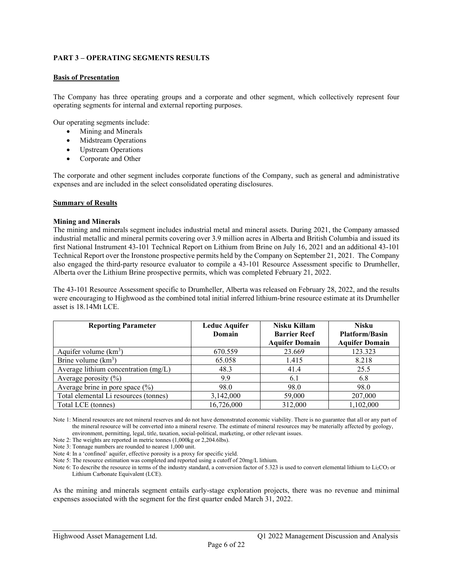#### PART 3 – OPERATING SEGMENTS RESULTS

#### Basis of Presentation

The Company has three operating groups and a corporate and other segment, which collectively represent four operating segments for internal and external reporting purposes.

Our operating segments include:

- Mining and Minerals
- Midstream Operations
- Upstream Operations
- Corporate and Other

The corporate and other segment includes corporate functions of the Company, such as general and administrative expenses and are included in the select consolidated operating disclosures.

#### Summary of Results

#### Mining and Minerals

The mining and minerals segment includes industrial metal and mineral assets. During 2021, the Company amassed industrial metallic and mineral permits covering over 3.9 million acres in Alberta and British Columbia and issued its first National Instrument 43-101 Technical Report on Lithium from Brine on July 16, 2021 and an additional 43-101 Technical Report over the Ironstone prospective permits held by the Company on September 21, 2021. The Company also engaged the third-party resource evaluator to compile a 43-101 Resource Assessment specific to Drumheller, Alberta over the Lithium Brine prospective permits, which was completed February 21, 2022.

The 43-101 Resource Assessment specific to Drumheller, Alberta was released on February 28, 2022, and the results were encouraging to Highwood as the combined total initial inferred lithium-brine resource estimate at its Drumheller asset is 18.14Mt LCE.

| <b>Reporting Parameter</b>            | <b>Leduc Aquifer</b><br>Domain | Nisku Killam<br><b>Barrier Reef</b><br><b>Aquifer Domain</b> | <b>Nisku</b><br><b>Platform/Basin</b><br><b>Aquifer Domain</b> |
|---------------------------------------|--------------------------------|--------------------------------------------------------------|----------------------------------------------------------------|
| Aquifer volume $(km^3)$               | 670.559                        | 23.669                                                       | 123.323                                                        |
| Brine volume $(km3)$                  | 65.058                         | 1.415                                                        | 8.218                                                          |
| Average lithium concentration (mg/L)  | 48.3                           | 41.4                                                         | 25.5                                                           |
| Average porosity $(\%)$               | 9.9                            | 6.1                                                          | 6.8                                                            |
| Average brine in pore space $(\% )$   | 98.0                           | 98.0                                                         | 98.0                                                           |
| Total elemental Li resources (tonnes) | 3,142,000                      | 59,000                                                       | 207,000                                                        |
| Total LCE (tonnes)                    | 16,726,000                     | 312,000                                                      | 1,102,000                                                      |

Note 1: Mineral resources are not mineral reserves and do not have demonstrated economic viability. There is no guarantee that all or any part of the mineral resource will be converted into a mineral reserve. The estimate of mineral resources may be materially affected by geology, environment, permitting, legal, title, taxation, social-political, marketing, or other relevant issues.

Note 2: The weights are reported in metric tonnes (1,000kg or 2,204.6lbs).

Note 3: Tonnage numbers are rounded to nearest 1,000 unit.

Note 4: In a 'confined' aquifer, effective porosity is a proxy for specific yield.

Note 5: The resource estimation was completed and reported using a cutoff of 20mg/L lithium.

Note 6: To describe the resource in terms of the industry standard, a conversion factor of 5.323 is used to convert elemental lithium to  $Li_2CO_3$  or Lithium Carbonate Equivalent (LCE).

As the mining and minerals segment entails early-stage exploration projects, there was no revenue and minimal expenses associated with the segment for the first quarter ended March 31, 2022.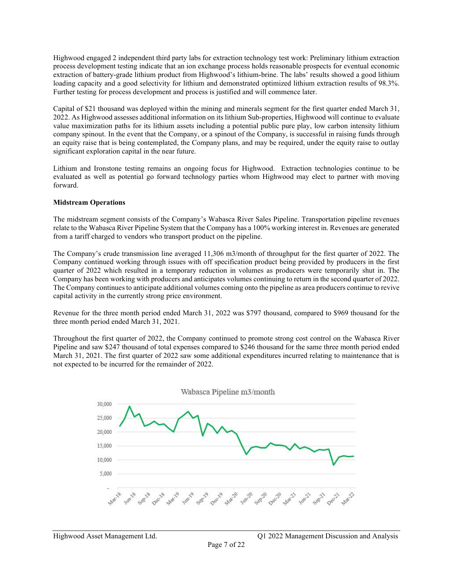Highwood engaged 2 independent third party labs for extraction technology test work: Preliminary lithium extraction process development testing indicate that an ion exchange process holds reasonable prospects for eventual economic extraction of battery-grade lithium product from Highwood's lithium-brine. The labs' results showed a good lithium loading capacity and a good selectivity for lithium and demonstrated optimized lithium extraction results of 98.3%. Further testing for process development and process is justified and will commence later.

Capital of \$21 thousand was deployed within the mining and minerals segment for the first quarter ended March 31, 2022. As Highwood assesses additional information on its lithium Sub-properties, Highwood will continue to evaluate value maximization paths for its lithium assets including a potential public pure play, low carbon intensity lithium company spinout. In the event that the Company, or a spinout of the Company, is successful in raising funds through an equity raise that is being contemplated, the Company plans, and may be required, under the equity raise to outlay significant exploration capital in the near future.

Lithium and Ironstone testing remains an ongoing focus for Highwood. Extraction technologies continue to be evaluated as well as potential go forward technology parties whom Highwood may elect to partner with moving forward.

#### Midstream Operations

The midstream segment consists of the Company's Wabasca River Sales Pipeline. Transportation pipeline revenues relate to the Wabasca River Pipeline System that the Company has a 100% working interest in. Revenues are generated from a tariff charged to vendors who transport product on the pipeline.

The Company's crude transmission line averaged 11,306 m3/month of throughput for the first quarter of 2022. The Company continued working through issues with off specification product being provided by producers in the first quarter of 2022 which resulted in a temporary reduction in volumes as producers were temporarily shut in. The Company has been working with producers and anticipates volumes continuing to return in the second quarter of 2022. The Company continues to anticipate additional volumes coming onto the pipeline as area producers continue to revive capital activity in the currently strong price environment.

Revenue for the three month period ended March 31, 2022 was \$797 thousand, compared to \$969 thousand for the three month period ended March 31, 2021.

Throughout the first quarter of 2022, the Company continued to promote strong cost control on the Wabasca River Pipeline and saw \$247 thousand of total expenses compared to \$246 thousand for the same three month period ended March 31, 2021. The first quarter of 2022 saw some additional expenditures incurred relating to maintenance that is not expected to be incurred for the remainder of 2022.

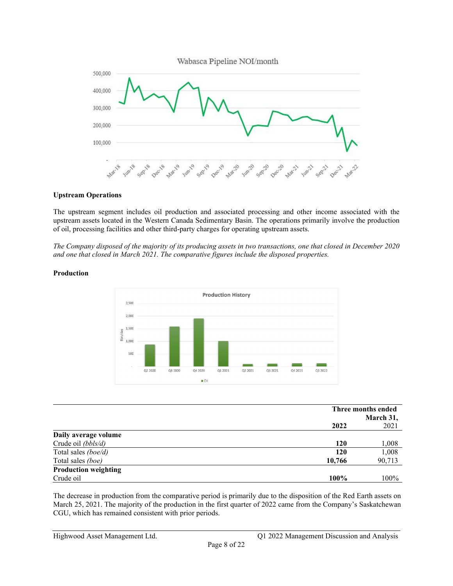

#### Upstream Operations

The upstream segment includes oil production and associated processing and other income associated with the upstream assets located in the Western Canada Sedimentary Basin. The operations primarily involve the production of oil, processing facilities and other third-party charges for operating upstream assets.

*The Company disposed of the majority of its producing assets in two transactions, one that closed in December 2020 and one that closed in March 2021. The comparative figures include the disposed properties.*



#### Production

|                             | Three months ended |           |
|-----------------------------|--------------------|-----------|
|                             |                    | March 31, |
|                             | 2022               | 2021      |
| Daily average volume        |                    |           |
| Crude oil (bbls/d)          | <b>120</b>         | 1,008     |
| Total sales (boe/d)         | 120                | 1,008     |
| Total sales <i>(boe)</i>    | 10,766             | 90,713    |
| <b>Production weighting</b> |                    |           |
| Crude oil                   | 100%               | 100%      |

The decrease in production from the comparative period is primarily due to the disposition of the Red Earth assets on March 25, 2021. The majority of the production in the first quarter of 2022 came from the Company's Saskatchewan CGU, which has remained consistent with prior periods.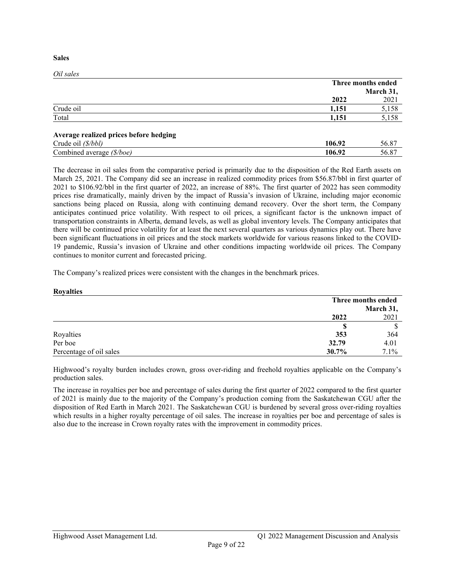Sales

*Oil sales* Three months ended March 31, 2022 2021  $\frac{1}{1,151}$  5,158  $\text{Total}$   $\qquad \qquad 5,158$ Average realized prices before hedging Crude oil *(\$/bbl)* 84.08 36.87 Combined average *(\$/boe)* 86.87

The decrease in oil sales from the comparative period is primarily due to the disposition of the Red Earth assets on March 25, 2021. The Company did see an increase in realized commodity prices from \$56.87/bbl in first quarter of 2021 to \$106.92/bbl in the first quarter of 2022, an increase of 88%. The first quarter of 2022 has seen commodity prices rise dramatically, mainly driven by the impact of Russia's invasion of Ukraine, including major economic sanctions being placed on Russia, along with continuing demand recovery. Over the short term, the Company anticipates continued price volatility. With respect to oil prices, a significant factor is the unknown impact of transportation constraints in Alberta, demand levels, as well as global inventory levels. The Company anticipates that there will be continued price volatility for at least the next several quarters as various dynamics play out. There have been significant fluctuations in oil prices and the stock markets worldwide for various reasons linked to the COVID-19 pandemic, Russia's invasion of Ukraine and other conditions impacting worldwide oil prices. The Company continues to monitor current and forecasted pricing.

The Company's realized prices were consistent with the changes in the benchmark prices.

| <b>Royalties</b>        |       |                    |
|-------------------------|-------|--------------------|
|                         |       | Three months ended |
|                         |       | March 31,          |
|                         | 2022  | 2021               |
|                         | S     |                    |
| Royalties               | 353   | 364                |
| Per boe                 | 32.79 | 4.01               |
| Percentage of oil sales | 30.7% | 7.1%               |

Highwood's royalty burden includes crown, gross over-riding and freehold royalties applicable on the Company's production sales.

The increase in royalties per boe and percentage of sales during the first quarter of 2022 compared to the first quarter of 2021 is mainly due to the majority of the Company's production coming from the Saskatchewan CGU after the disposition of Red Earth in March 2021. The Saskatchewan CGU is burdened by several gross over-riding royalties which results in a higher royalty percentage of oil sales. The increase in royalties per boe and percentage of sales is also due to the increase in Crown royalty rates with the improvement in commodity prices.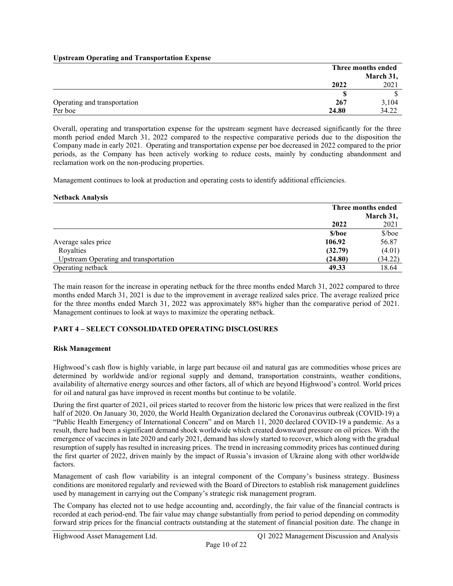#### Upstream Operating and Transportation Expense

|                              |       | Three months ended |  |
|------------------------------|-------|--------------------|--|
|                              |       | March 31,          |  |
|                              | 2022  | 2021               |  |
|                              |       |                    |  |
| Operating and transportation | 267   | 3,104              |  |
| Per boe                      | 24.80 | 34.22              |  |

Overall, operating and transportation expense for the upstream segment have decreased significantly for the three month period ended March 31, 2022 compared to the respective comparative periods due to the disposition the Company made in early 2021. Operating and transportation expense per boe decreased in 2022 compared to the prior periods, as the Company has been actively working to reduce costs, mainly by conducting abandonment and reclamation work on the non-producing properties.

Management continues to look at production and operating costs to identify additional efficiencies.

#### Netback Analysis

|                                       | Three months ended |           |
|---------------------------------------|--------------------|-----------|
|                                       |                    | March 31, |
|                                       | 2022               | 2021      |
|                                       | \$/boe             | $$/$ boe  |
| Average sales price                   | 106.92             | 56.87     |
| Royalties                             | (32.79)            | (4.01)    |
| Upstream Operating and transportation | (24.80)            | (34.22)   |
| Operating netback                     | 49.33              | 18.64     |

The main reason for the increase in operating netback for the three months ended March 31, 2022 compared to three months ended March 31, 2021 is due to the improvement in average realized sales price. The average realized price for the three months ended March 31, 2022 was approximately 88% higher than the comparative period of 2021. Management continues to look at ways to maximize the operating netback.

#### PART 4 – SELECT CONSOLIDATED OPERATING DISCLOSURES

#### Risk Management

Highwood's cash flow is highly variable, in large part because oil and natural gas are commodities whose prices are determined by worldwide and/or regional supply and demand, transportation constraints, weather conditions, availability of alternative energy sources and other factors, all of which are beyond Highwood's control. World prices for oil and natural gas have improved in recent months but continue to be volatile.

During the first quarter of 2021, oil prices started to recover from the historic low prices that were realized in the first half of 2020. On January 30, 2020, the World Health Organization declared the Coronavirus outbreak (COVID-19) a "Public Health Emergency of International Concern" and on March 11, 2020 declared COVID-19 a pandemic. As a result, there had been a significant demand shock worldwide which created downward pressure on oil prices. With the emergence of vaccines in late 2020 and early 2021, demand has slowly started to recover, which along with the gradual resumption of supply has resulted in increasing prices. The trend in increasing commodity prices has continued during the first quarter of 2022, driven mainly by the impact of Russia's invasion of Ukraine along with other worldwide factors.

Management of cash flow variability is an integral component of the Company's business strategy. Business conditions are monitored regularly and reviewed with the Board of Directors to establish risk management guidelines used by management in carrying out the Company's strategic risk management program.

The Company has elected not to use hedge accounting and, accordingly, the fair value of the financial contracts is recorded at each period-end. The fair value may change substantially from period to period depending on commodity forward strip prices for the financial contracts outstanding at the statement of financial position date. The change in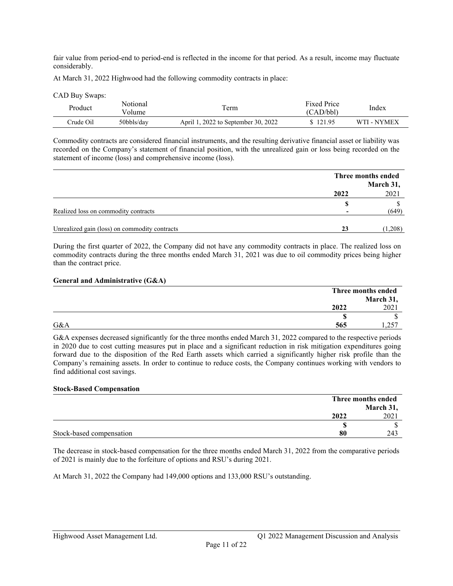fair value from period-end to period-end is reflected in the income for that period. As a result, income may fluctuate considerably.

At March 31, 2022 Highwood had the following commodity contracts in place:

CAD Buy Swaps:

| Product   | Notional<br>Volume | Term                                | <b>Fixed Price</b><br>(CAD/bbl) | Index       |
|-----------|--------------------|-------------------------------------|---------------------------------|-------------|
| Crude Oil | 50bbls/day         | April 1, 2022 to September 30, 2022 | \$121.95                        | WTI - NYMEX |

Commodity contracts are considered financial instruments, and the resulting derivative financial asset or liability was recorded on the Company's statement of financial position, with the unrealized gain or loss being recorded on the statement of income (loss) and comprehensive income (loss).

|                                               | Three months ended<br>March 31, |        |
|-----------------------------------------------|---------------------------------|--------|
|                                               | 2022                            | 2021   |
|                                               | S                               |        |
| Realized loss on commodity contracts          | -                               | (649)  |
| Unrealized gain (loss) on commodity contracts | 23                              | 1,208) |

During the first quarter of 2022, the Company did not have any commodity contracts in place. The realized loss on commodity contracts during the three months ended March 31, 2021 was due to oil commodity prices being higher than the contract price.

#### General and Administrative (G&A)

|     |      | Three months ended |  |
|-----|------|--------------------|--|
|     |      | March 31,          |  |
|     | 2022 | 2021               |  |
|     | S    |                    |  |
| G&A | 565  | つよつ<br>1,4J        |  |

G&A expenses decreased significantly for the three months ended March 31, 2022 compared to the respective periods in 2020 due to cost cutting measures put in place and a significant reduction in risk mitigation expenditures going forward due to the disposition of the Red Earth assets which carried a significantly higher risk profile than the Company's remaining assets. In order to continue to reduce costs, the Company continues working with vendors to find additional cost savings.

#### Stock-Based Compensation

|                          |      | Three months ended |  |
|--------------------------|------|--------------------|--|
|                          |      | March 31,          |  |
|                          | 2022 | 2021               |  |
|                          | D    |                    |  |
| Stock-based compensation | 80   | 243                |  |

The decrease in stock-based compensation for the three months ended March 31, 2022 from the comparative periods of 2021 is mainly due to the forfeiture of options and RSU's during 2021.

At March 31, 2022 the Company had 149,000 options and 133,000 RSU's outstanding.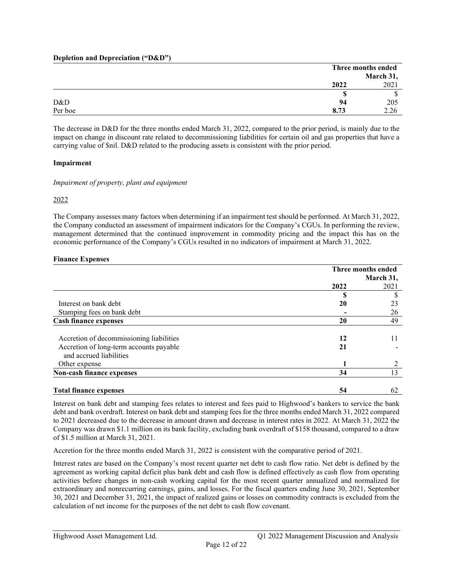#### Depletion and Depreciation ("D&D")

|         |      | Three months ended |  |
|---------|------|--------------------|--|
|         |      | March 31,          |  |
|         | 2022 | 2021               |  |
|         | S    | ۰υ                 |  |
| D&D     | 94   | 205                |  |
| Per boe | 8.73 | 2.26               |  |

The decrease in D&D for the three months ended March 31, 2022, compared to the prior period, is mainly due to the impact on change in discount rate related to decommissioning liabilities for certain oil and gas properties that have a carrying value of \$nil. D&D related to the producing assets is consistent with the prior period.

#### Impairment

#### *Impairment of property, plant and equipment*

#### 2022

The Company assesses many factors when determining if an impairment test should be performed. At March 31, 2022, the Company conducted an assessment of impairment indicators for the Company's CGUs. In performing the review, management determined that the continued improvement in commodity pricing and the impact this has on the economic performance of the Company's CGUs resulted in no indicators of impairment at March 31, 2022.

#### Finance Expenses

|                                          | Three months ended |      |
|------------------------------------------|--------------------|------|
|                                          | March 31,          |      |
|                                          | 2022               | 2021 |
|                                          |                    | S    |
| Interest on bank debt                    | 20                 | 23   |
| Stamping fees on bank debt               |                    | 26   |
| <b>Cash finance expenses</b>             | 20                 | 49   |
| Accretion of decommissioning liabilities | 12                 | 11   |
| Accretion of long-term accounts payable  | 21                 |      |
| and accrued liabilities                  |                    |      |
| Other expense                            |                    |      |
| <b>Non-cash finance expenses</b>         | 34                 | 13   |
| <b>Total finance expenses</b>            | 54                 | 62   |

Interest on bank debt and stamping fees relates to interest and fees paid to Highwood's bankers to service the bank debt and bank overdraft. Interest on bank debt and stamping fees for the three months ended March 31, 2022 compared to 2021 decreased due to the decrease in amount drawn and decrease in interest rates in 2022. At March 31, 2022 the Company was drawn \$1.1 million on its bank facility, excluding bank overdraft of \$158 thousand, compared to a draw of \$1.5 million at March 31, 2021.

Accretion for the three months ended March 31, 2022 is consistent with the comparative period of 2021.

Interest rates are based on the Company's most recent quarter net debt to cash flow ratio. Net debt is defined by the agreement as working capital deficit plus bank debt and cash flow is defined effectively as cash flow from operating activities before changes in non-cash working capital for the most recent quarter annualized and normalized for extraordinary and nonrecurring earnings, gains, and losses. For the fiscal quarters ending June 30, 2021, September 30, 2021 and December 31, 2021, the impact of realized gains or losses on commodity contracts is excluded from the calculation of net income for the purposes of the net debt to cash flow covenant.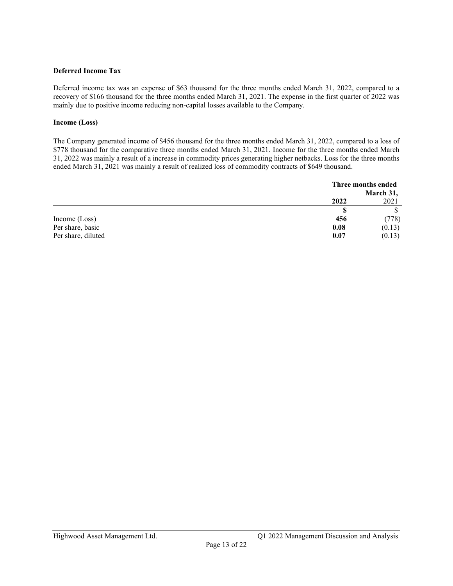#### Deferred Income Tax

Deferred income tax was an expense of \$63 thousand for the three months ended March 31, 2022, compared to a recovery of \$166 thousand for the three months ended March 31, 2021. The expense in the first quarter of 2022 was mainly due to positive income reducing non-capital losses available to the Company.

#### Income (Loss)

The Company generated income of \$456 thousand for the three months ended March 31, 2022, compared to a loss of \$778 thousand for the comparative three months ended March 31, 2021. Income for the three months ended March 31, 2022 was mainly a result of a increase in commodity prices generating higher netbacks. Loss for the three months ended March 31, 2021 was mainly a result of realized loss of commodity contracts of \$649 thousand.

|                    |      | Three months ended |  |
|--------------------|------|--------------------|--|
|                    |      | March 31,          |  |
|                    | 2022 | 2021               |  |
|                    | S    |                    |  |
| Income $(Loss)$    | 456  | (778)              |  |
| Per share, basic   | 0.08 | (0.13)             |  |
| Per share, diluted | 0.07 | (0.13)             |  |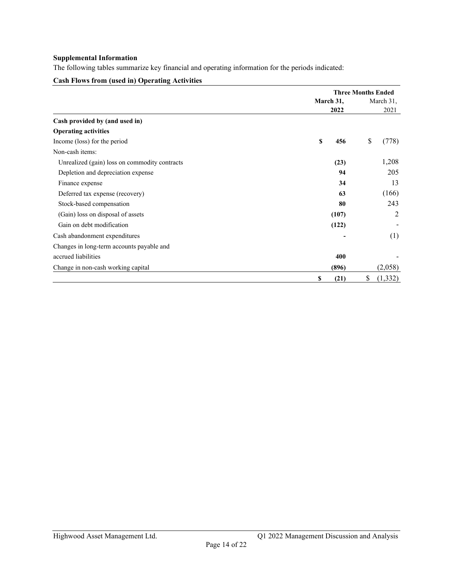#### Supplemental Information

The following tables summarize key financial and operating information for the periods indicated:

### Cash Flows from (used in) Operating Activities

|                                               | <b>Three Months Ended</b> |                |  |
|-----------------------------------------------|---------------------------|----------------|--|
|                                               | March 31,                 | March 31,      |  |
|                                               | 2022                      | 2021           |  |
| Cash provided by (and used in)                |                           |                |  |
| <b>Operating activities</b>                   |                           |                |  |
| Income (loss) for the period                  | S<br>456                  | \$<br>(778)    |  |
| Non-cash items:                               |                           |                |  |
| Unrealized (gain) loss on commodity contracts | (23)                      | 1,208          |  |
| Depletion and depreciation expense            | 94                        | 205            |  |
| Finance expense                               | 34                        | 13             |  |
| Deferred tax expense (recovery)               | 63                        | (166)          |  |
| Stock-based compensation                      | 80                        | 243            |  |
| (Gain) loss on disposal of assets             | (107)                     | 2              |  |
| Gain on debt modification                     | (122)                     |                |  |
| Cash abandonment expenditures                 |                           | (1)            |  |
| Changes in long-term accounts payable and     |                           |                |  |
| accrued liabilities                           | 400                       |                |  |
| Change in non-cash working capital            | (896)                     | (2,058)        |  |
|                                               | (21)<br>S                 | \$<br>(1, 332) |  |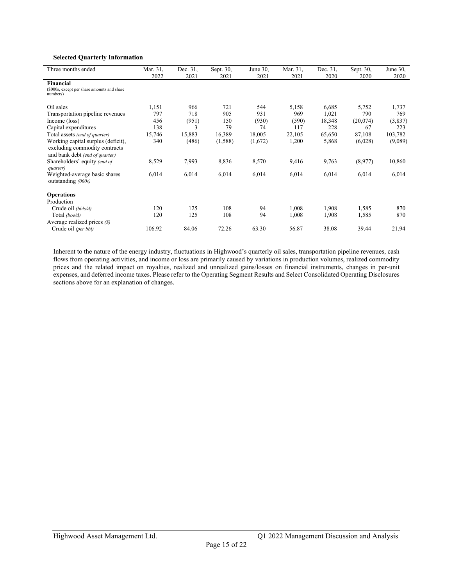#### Selected Quarterly Information

| Three months ended                                                                                    | Mar. 31,<br>2022 | Dec. 31,<br>2021 | Sept. 30,<br>2021 | June $30$ ,<br>2021 | Mar. 31,<br>2021 | Dec. 31.<br>2020 | Sept. 30,<br>2020 | June 30,<br>2020 |
|-------------------------------------------------------------------------------------------------------|------------------|------------------|-------------------|---------------------|------------------|------------------|-------------------|------------------|
| <b>Financial</b><br>(\$000s, except per share amounts and share<br>numbers)                           |                  |                  |                   |                     |                  |                  |                   |                  |
| Oil sales                                                                                             | 1,151            | 966              | 721               | 544                 | 5,158            | 6,685            | 5,752             | 1,737            |
| Transportation pipeline revenues                                                                      | 797              | 718              | 905               | 931                 | 969              | 1,021            | 790               | 769              |
| Income (loss)                                                                                         | 456              | (951)            | 150               | (930)               | (590)            | 18,348           | (20,074)          | (3,837)          |
| Capital expenditures                                                                                  | 138              | 3                | 79                | 74                  | 117              | 228              | 67                | 223              |
| Total assets (end of quarter)                                                                         | 15,746           | 15,883           | 16,389            | 18,005              | 22,105           | 65,650           | 87,108            | 103,782          |
| Working capital surplus (deficit),<br>excluding commodity contracts<br>and bank debt (end of quarter) | 340              | (486)            | (1,588)           | (1,672)             | 1,200            | 5,868            | (6,028)           | (9,089)          |
| Shareholders' equity (end of<br>quarter)                                                              | 8,529            | 7,993            | 8,836             | 8,570               | 9,416            | 9,763            | (8,977)           | 10,860           |
| Weighted-average basic shares<br>outstanding (000s)                                                   | 6,014            | 6,014            | 6,014             | 6,014               | 6,014            | 6,014            | 6,014             | 6,014            |
| <b>Operations</b>                                                                                     |                  |                  |                   |                     |                  |                  |                   |                  |
| Production                                                                                            |                  |                  |                   |                     |                  |                  |                   |                  |
| Crude oil (bbls/d)                                                                                    | 120              | 125              | 108               | 94                  | 1,008            | 1,908            | 1,585             | 870              |
| Total (boe/d)                                                                                         | 120              | 125              | 108               | 94                  | 1,008            | 1,908            | 1,585             | 870              |
| Average realized prices $(s)$                                                                         |                  |                  |                   |                     |                  |                  |                   |                  |
| Crude oil (per bbl)                                                                                   | 106.92           | 84.06            | 72.26             | 63.30               | 56.87            | 38.08            | 39.44             | 21.94            |

Inherent to the nature of the energy industry, fluctuations in Highwood's quarterly oil sales, transportation pipeline revenues, cash flows from operating activities, and income or loss are primarily caused by variations in production volumes, realized commodity prices and the related impact on royalties, realized and unrealized gains/losses on financial instruments, changes in per-unit expenses, and deferred income taxes. Please refer to the Operating Segment Results and Select Consolidated Operating Disclosures sections above for an explanation of changes.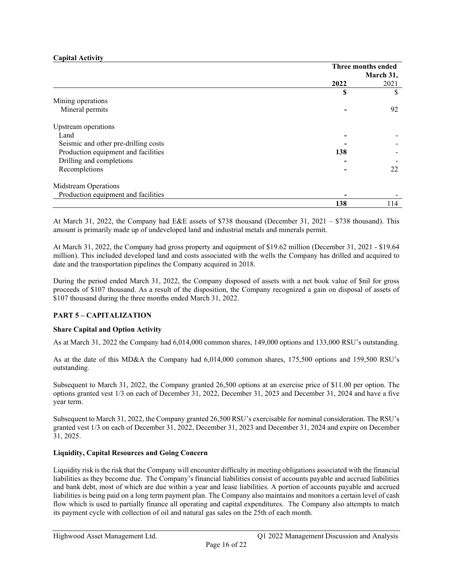#### Capital Activity

|                                      | Three months ended |      |
|--------------------------------------|--------------------|------|
|                                      | March 31,          |      |
|                                      | 2022               | 2021 |
|                                      | \$                 | S    |
| Mining operations                    |                    |      |
| Mineral permits                      |                    | 92   |
| Upstream operations                  |                    |      |
| Land                                 |                    |      |
| Seismic and other pre-drilling costs |                    |      |
| Production equipment and facilities  | 138                |      |
| Drilling and completions             |                    |      |
| Recompletions                        |                    | 22   |
| Midstream Operations                 |                    |      |
| Production equipment and facilities  |                    |      |
|                                      | 138                | 114  |

At March 31, 2022, the Company had E&E assets of \$738 thousand (December 31, 2021 – \$738 thousand). This amount is primarily made up of undeveloped land and industrial metals and minerals permit.

At March 31, 2022, the Company had gross property and equipment of \$19.62 million (December 31, 2021 - \$19.64 million). This included developed land and costs associated with the wells the Company has drilled and acquired to date and the transportation pipelines the Company acquired in 2018.

During the period ended March 31, 2022, the Company disposed of assets with a net book value of \$nil for gross proceeds of \$107 thousand. As a result of the disposition, the Company recognized a gain on disposal of assets of \$107 thousand during the three months ended March 31, 2022.

#### PART 5 – CAPITALIZATION

#### Share Capital and Option Activity

As at March 31, 2022 the Company had 6,014,000 common shares, 149,000 options and 133,000 RSU's outstanding.

As at the date of this MD&A the Company had 6,014,000 common shares, 175,500 options and 159,500 RSU's outstanding.

Subsequent to March 31, 2022, the Company granted 26,500 options at an exercise price of \$11.00 per option. The options granted vest 1/3 on each of December 31, 2022, December 31, 2023 and December 31, 2024 and have a five year term.

Subsequent to March 31, 2022, the Company granted 26,500 RSU's exercisable for nominal consideration. The RSU's granted vest 1/3 on each of December 31, 2022, December 31, 2023 and December 31, 2024 and expire on December 31, 2025.

#### Liquidity, Capital Resources and Going Concern

Liquidity risk is the risk that the Company will encounter difficulty in meeting obligations associated with the financial liabilities as they become due. The Company's financial liabilities consist of accounts payable and accrued liabilities and bank debt, most of which are due within a year and lease liabilities. A portion of accounts payable and accrued liabilities is being paid on a long term payment plan. The Company also maintains and monitors a certain level of cash flow which is used to partially finance all operating and capital expenditures. The Company also attempts to match its payment cycle with collection of oil and natural gas sales on the 25th of each month.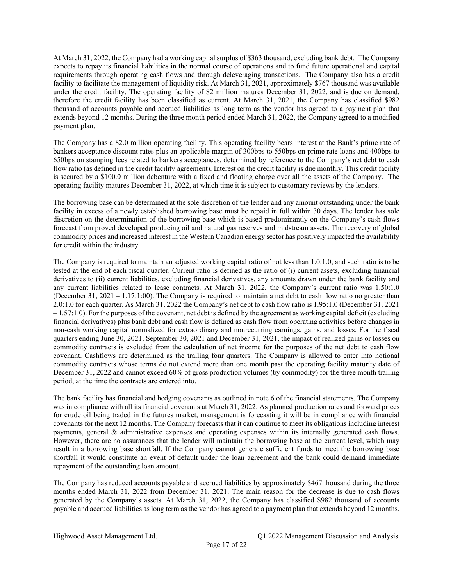At March 31, 2022, the Company had a working capital surplus of \$363 thousand, excluding bank debt. The Company expects to repay its financial liabilities in the normal course of operations and to fund future operational and capital requirements through operating cash flows and through deleveraging transactions. The Company also has a credit facility to facilitate the management of liquidity risk. At March 31, 2021, approximately \$767 thousand was available under the credit facility. The operating facility of \$2 million matures December 31, 2022, and is due on demand, therefore the credit facility has been classified as current. At March 31, 2021, the Company has classified \$982 thousand of accounts payable and accrued liabilities as long term as the vendor has agreed to a payment plan that extends beyond 12 months. During the three month period ended March 31, 2022, the Company agreed to a modified payment plan.

The Company has a \$2.0 million operating facility. This operating facility bears interest at the Bank's prime rate of bankers acceptance discount rates plus an applicable margin of 300bps to 550bps on prime rate loans and 400bps to 650bps on stamping fees related to bankers acceptances, determined by reference to the Company's net debt to cash flow ratio (as defined in the credit facility agreement). Interest on the credit facility is due monthly. This credit facility is secured by a \$100.0 million debenture with a fixed and floating charge over all the assets of the Company. The operating facility matures December 31, 2022, at which time it is subject to customary reviews by the lenders.

The borrowing base can be determined at the sole discretion of the lender and any amount outstanding under the bank facility in excess of a newly established borrowing base must be repaid in full within 30 days. The lender has sole discretion on the determination of the borrowing base which is based predominantly on the Company's cash flows forecast from proved developed producing oil and natural gas reserves and midstream assets. The recovery of global commodity prices and increased interest in the Western Canadian energy sector has positively impacted the availability for credit within the industry.

The Company is required to maintain an adjusted working capital ratio of not less than 1.0:1.0, and such ratio is to be tested at the end of each fiscal quarter. Current ratio is defined as the ratio of (i) current assets, excluding financial derivatives to (ii) current liabilities, excluding financial derivatives, any amounts drawn under the bank facility and any current liabilities related to lease contracts. At March 31, 2022, the Company's current ratio was 1.50:1.0 (December 31, 2021 – 1.17:1:00). The Company is required to maintain a net debt to cash flow ratio no greater than 2.0:1.0 for each quarter. As March 31, 2022 the Company's net debt to cash flow ratio is 1.95:1.0 (December 31, 2021  $-1.57:1.0$ ). For the purposes of the covenant, net debt is defined by the agreement as working capital deficit (excluding financial derivatives) plus bank debt and cash flow is defined as cash flow from operating activities before changes in non-cash working capital normalized for extraordinary and nonrecurring earnings, gains, and losses. For the fiscal quarters ending June 30, 2021, September 30, 2021 and December 31, 2021, the impact of realized gains or losses on commodity contracts is excluded from the calculation of net income for the purposes of the net debt to cash flow covenant. Cashflows are determined as the trailing four quarters. The Company is allowed to enter into notional commodity contracts whose terms do not extend more than one month past the operating facility maturity date of December 31, 2022 and cannot exceed 60% of gross production volumes (by commodity) for the three month trailing period, at the time the contracts are entered into.

The bank facility has financial and hedging covenants as outlined in note 6 of the financial statements. The Company was in compliance with all its financial covenants at March 31, 2022. As planned production rates and forward prices for crude oil being traded in the futures market, management is forecasting it will be in compliance with financial covenants for the next 12 months. The Company forecasts that it can continue to meet its obligations including interest payments, general & administrative expenses and operating expenses within its internally generated cash flows. However, there are no assurances that the lender will maintain the borrowing base at the current level, which may result in a borrowing base shortfall. If the Company cannot generate sufficient funds to meet the borrowing base shortfall it would constitute an event of default under the loan agreement and the bank could demand immediate repayment of the outstanding loan amount.

The Company has reduced accounts payable and accrued liabilities by approximately \$467 thousand during the three months ended March 31, 2022 from December 31, 2021. The main reason for the decrease is due to cash flows generated by the Company's assets. At March 31, 2022, the Company has classified \$982 thousand of accounts payable and accrued liabilities as long term as the vendor has agreed to a payment plan that extends beyond 12 months.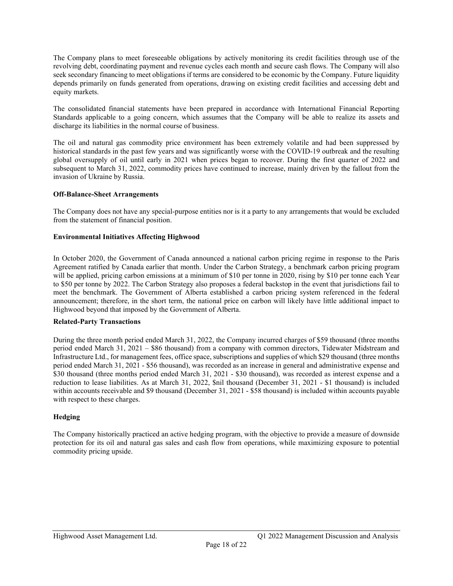The Company plans to meet foreseeable obligations by actively monitoring its credit facilities through use of the revolving debt, coordinating payment and revenue cycles each month and secure cash flows. The Company will also seek secondary financing to meet obligations if terms are considered to be economic by the Company. Future liquidity depends primarily on funds generated from operations, drawing on existing credit facilities and accessing debt and equity markets.

The consolidated financial statements have been prepared in accordance with International Financial Reporting Standards applicable to a going concern, which assumes that the Company will be able to realize its assets and discharge its liabilities in the normal course of business.

The oil and natural gas commodity price environment has been extremely volatile and had been suppressed by historical standards in the past few years and was significantly worse with the COVID-19 outbreak and the resulting global oversupply of oil until early in 2021 when prices began to recover. During the first quarter of 2022 and subsequent to March 31, 2022, commodity prices have continued to increase, mainly driven by the fallout from the invasion of Ukraine by Russia.

#### Off-Balance-Sheet Arrangements

The Company does not have any special-purpose entities nor is it a party to any arrangements that would be excluded from the statement of financial position.

#### Environmental Initiatives Affecting Highwood

In October 2020, the Government of Canada announced a national carbon pricing regime in response to the Paris Agreement ratified by Canada earlier that month. Under the Carbon Strategy, a benchmark carbon pricing program will be applied, pricing carbon emissions at a minimum of \$10 per tonne in 2020, rising by \$10 per tonne each Year to \$50 per tonne by 2022. The Carbon Strategy also proposes a federal backstop in the event that jurisdictions fail to meet the benchmark. The Government of Alberta established a carbon pricing system referenced in the federal announcement; therefore, in the short term, the national price on carbon will likely have little additional impact to Highwood beyond that imposed by the Government of Alberta.

#### Related-Party Transactions

During the three month period ended March 31, 2022, the Company incurred charges of \$59 thousand (three months period ended March 31, 2021 – \$86 thousand) from a company with common directors, Tidewater Midstream and Infrastructure Ltd., for management fees, office space, subscriptions and supplies of which \$29 thousand (three months period ended March 31, 2021 - \$56 thousand), was recorded as an increase in general and administrative expense and \$30 thousand (three months period ended March 31, 2021 - \$30 thousand), was recorded as interest expense and a reduction to lease liabilities. As at March 31, 2022, \$nil thousand (December 31, 2021 - \$1 thousand) is included within accounts receivable and \$9 thousand (December 31, 2021 - \$58 thousand) is included within accounts payable with respect to these charges.

#### Hedging

The Company historically practiced an active hedging program, with the objective to provide a measure of downside protection for its oil and natural gas sales and cash flow from operations, while maximizing exposure to potential commodity pricing upside.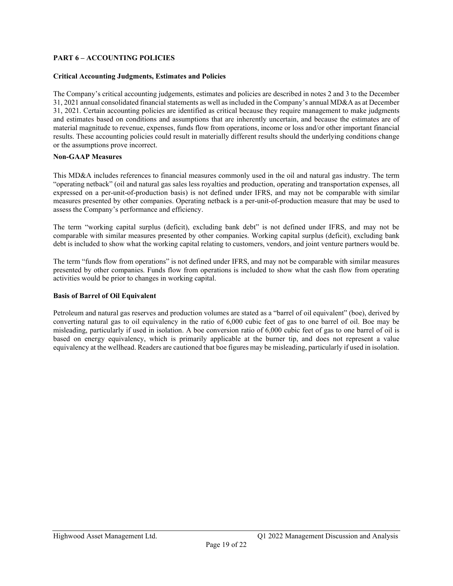#### PART 6 – ACCOUNTING POLICIES

#### Critical Accounting Judgments, Estimates and Policies

The Company's critical accounting judgements, estimates and policies are described in notes 2 and 3 to the December 31, 2021 annual consolidated financial statements as well as included in the Company's annual MD&A as at December 31, 2021. Certain accounting policies are identified as critical because they require management to make judgments and estimates based on conditions and assumptions that are inherently uncertain, and because the estimates are of material magnitude to revenue, expenses, funds flow from operations, income or loss and/or other important financial results. These accounting policies could result in materially different results should the underlying conditions change or the assumptions prove incorrect.

#### Non-GAAP Measures

This MD&A includes references to financial measures commonly used in the oil and natural gas industry. The term "operating netback" (oil and natural gas sales less royalties and production, operating and transportation expenses, all expressed on a per-unit-of-production basis) is not defined under IFRS, and may not be comparable with similar measures presented by other companies. Operating netback is a per-unit-of-production measure that may be used to assess the Company's performance and efficiency.

The term "working capital surplus (deficit), excluding bank debt" is not defined under IFRS, and may not be comparable with similar measures presented by other companies. Working capital surplus (deficit), excluding bank debt is included to show what the working capital relating to customers, vendors, and joint venture partners would be.

The term "funds flow from operations" is not defined under IFRS, and may not be comparable with similar measures presented by other companies. Funds flow from operations is included to show what the cash flow from operating activities would be prior to changes in working capital.

#### Basis of Barrel of Oil Equivalent

Petroleum and natural gas reserves and production volumes are stated as a "barrel of oil equivalent" (boe), derived by converting natural gas to oil equivalency in the ratio of 6,000 cubic feet of gas to one barrel of oil. Boe may be misleading, particularly if used in isolation. A boe conversion ratio of 6,000 cubic feet of gas to one barrel of oil is based on energy equivalency, which is primarily applicable at the burner tip, and does not represent a value equivalency at the wellhead. Readers are cautioned that boe figures may be misleading, particularly if used in isolation.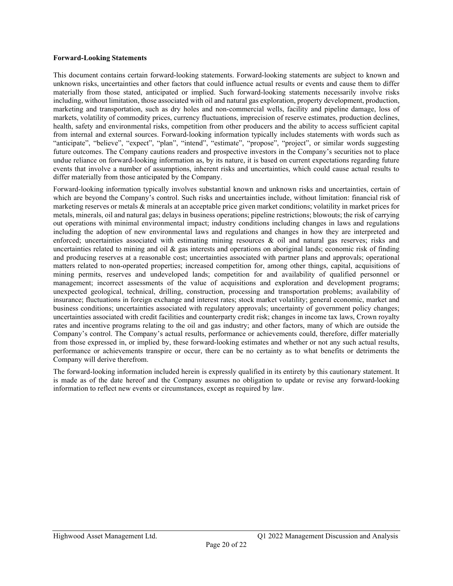#### Forward-Looking Statements

This document contains certain forward-looking statements. Forward-looking statements are subject to known and unknown risks, uncertainties and other factors that could influence actual results or events and cause them to differ materially from those stated, anticipated or implied. Such forward-looking statements necessarily involve risks including, without limitation, those associated with oil and natural gas exploration, property development, production, marketing and transportation, such as dry holes and non-commercial wells, facility and pipeline damage, loss of markets, volatility of commodity prices, currency fluctuations, imprecision of reserve estimates, production declines, health, safety and environmental risks, competition from other producers and the ability to access sufficient capital from internal and external sources. Forward-looking information typically includes statements with words such as "anticipate", "believe", "expect", "plan", "intend", "estimate", "propose", "project", or similar words suggesting future outcomes. The Company cautions readers and prospective investors in the Company's securities not to place undue reliance on forward‐looking information as, by its nature, it is based on current expectations regarding future events that involve a number of assumptions, inherent risks and uncertainties, which could cause actual results to differ materially from those anticipated by the Company.

Forward-looking information typically involves substantial known and unknown risks and uncertainties, certain of which are beyond the Company's control. Such risks and uncertainties include, without limitation: financial risk of marketing reserves or metals & minerals at an acceptable price given market conditions; volatility in market prices for metals, minerals, oil and natural gas; delays in business operations; pipeline restrictions; blowouts; the risk of carrying out operations with minimal environmental impact; industry conditions including changes in laws and regulations including the adoption of new environmental laws and regulations and changes in how they are interpreted and enforced; uncertainties associated with estimating mining resources  $\&$  oil and natural gas reserves; risks and uncertainties related to mining and oil  $\&$  gas interests and operations on aboriginal lands; economic risk of finding and producing reserves at a reasonable cost; uncertainties associated with partner plans and approvals; operational matters related to non-operated properties; increased competition for, among other things, capital, acquisitions of mining permits, reserves and undeveloped lands; competition for and availability of qualified personnel or management; incorrect assessments of the value of acquisitions and exploration and development programs; unexpected geological, technical, drilling, construction, processing and transportation problems; availability of insurance; fluctuations in foreign exchange and interest rates; stock market volatility; general economic, market and business conditions; uncertainties associated with regulatory approvals; uncertainty of government policy changes; uncertainties associated with credit facilities and counterparty credit risk; changes in income tax laws, Crown royalty rates and incentive programs relating to the oil and gas industry; and other factors, many of which are outside the Company's control. The Company's actual results, performance or achievements could, therefore, differ materially from those expressed in, or implied by, these forward-looking estimates and whether or not any such actual results, performance or achievements transpire or occur, there can be no certainty as to what benefits or detriments the Company will derive therefrom.

The forward-looking information included herein is expressly qualified in its entirety by this cautionary statement. It is made as of the date hereof and the Company assumes no obligation to update or revise any forward‐looking information to reflect new events or circumstances, except as required by law.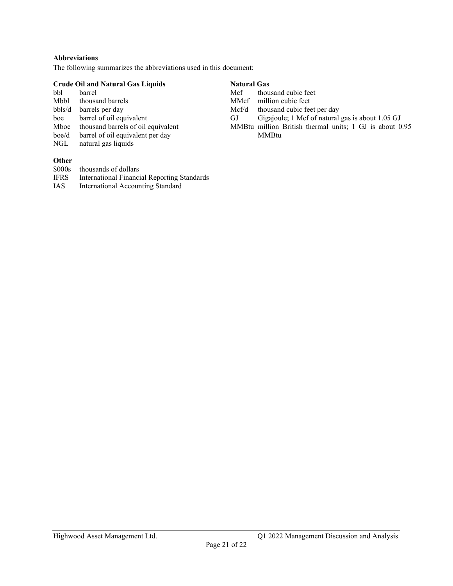#### Abbreviations

The following summarizes the abbreviations used in this document:

|     | <b>Crude Oil and Natural Gas Liquids</b> | <b>Natural Gas</b> |                                                         |
|-----|------------------------------------------|--------------------|---------------------------------------------------------|
| bbl | barrel                                   | Mcf                | thousand cubic feet                                     |
|     | Mbbl thousand barrels                    |                    | MMcf million cubic feet                                 |
|     | bbls/d barrels per day                   | Mcf/d              | thousand cubic feet per day                             |
|     | boe barrel of oil equivalent             | GJ.                | Gigajoule; 1 Mcf of natural gas is about 1.05 GJ        |
|     | Mboe thousand barrels of oil equivalent  |                    | MMBtu million British thermal units; 1 GJ is about 0.95 |
|     | boe/d barrel of oil equivalent per day   |                    | <b>MMBtu</b>                                            |
| NGL | natural gas liquids                      |                    |                                                         |
|     |                                          |                    |                                                         |

### **Other**

\$000s thousands of dollars<br>IFRS International Financi

- International Financial Reporting Standards
- IAS International Accounting Standard